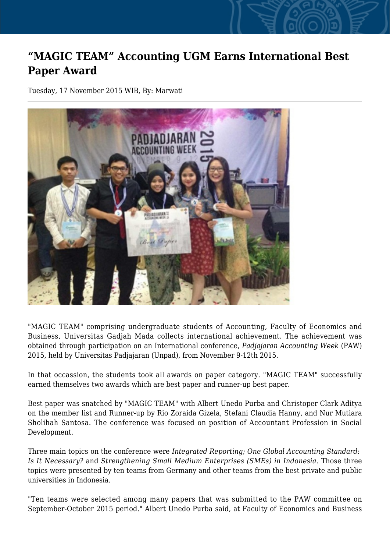## **"MAGIC TEAM" Accounting UGM Earns International Best Paper Award**

Tuesday, 17 November 2015 WIB, By: Marwati



"MAGIC TEAM" comprising undergraduate students of Accounting, Faculty of Economics and Business, Universitas Gadjah Mada collects international achievement. The achievement was obtained through participation on an International conference, *Padjajaran Accounting Week* (PAW) 2015, held by Universitas Padjajaran (Unpad), from November 9-12th 2015.

In that occassion, the students took all awards on paper category. "MAGIC TEAM" successfully earned themselves two awards which are best paper and runner-up best paper.

Best paper was snatched by "MAGIC TEAM" with Albert Unedo Purba and Christoper Clark Aditya on the member list and Runner-up by Rio Zoraida Gizela, Stefani Claudia Hanny, and Nur Mutiara Sholihah Santosa. The conference was focused on position of Accountant Profession in Social Development.

Three main topics on the conference were *Integrated Reporting; One Global Accounting Standard: Is It Necessary?* and *Strengthening Small Medium Enterprises (SMEs) in Indonesia*. Those three topics were presented by ten teams from Germany and other teams from the best private and public universities in Indonesia.

"Ten teams were selected among many papers that was submitted to the PAW committee on September-October 2015 period." Albert Unedo Purba said, at Faculty of Economics and Business